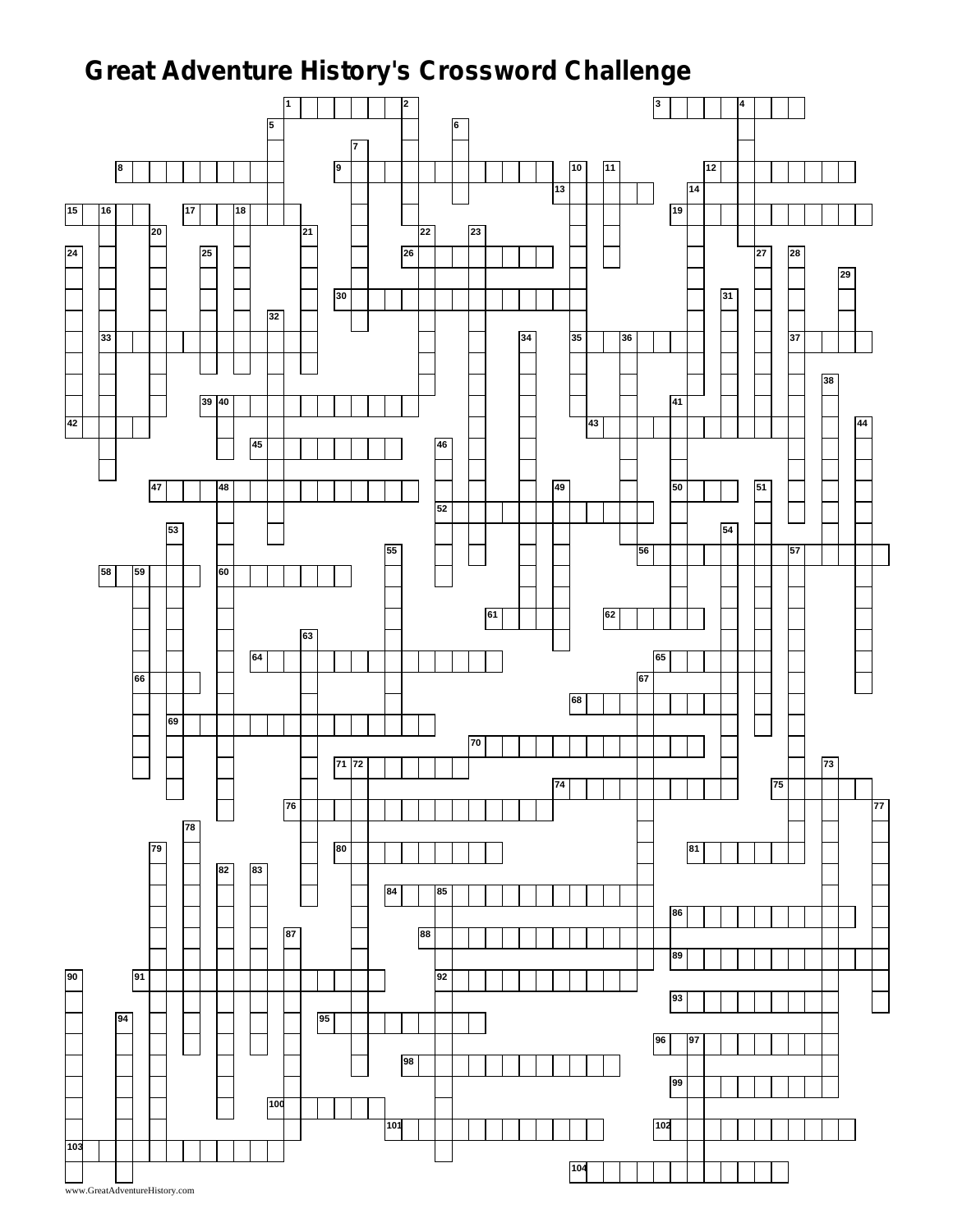## **Great Adventure History's Crossword Challenge**